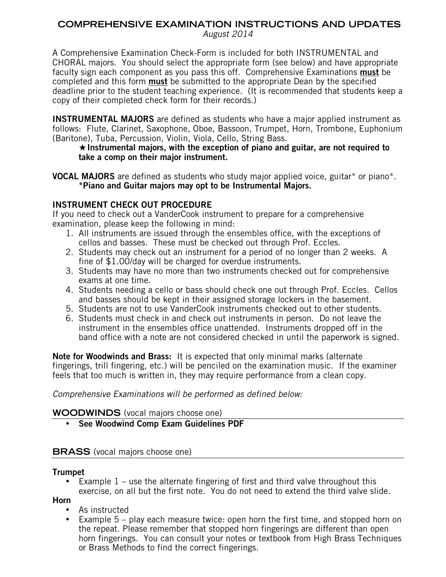# **COMPREHENSIVE EXAMINATION INSTRUCTIONS AND UPDATES**

*August 2014*

A Comprehensive Examination Check-Form is included for both INSTRUMENTAL and CHORAL majors. You should select the appropriate form (see below) and have appropriate faculty sign each component as you pass this off. Comprehensive Examinations **must** be completed and this form **must** be submitted to the appropriate Dean by the specified deadline prior to the student teaching experience. (It is recommended that students keep a copy of their completed check form for their records.)

**INSTRUMENTAL MAJORS** are defined as students who have a major applied instrument as follows: Flute, Clarinet, Saxophone, Oboe, Bassoon, Trumpet, Horn, Trombone, Euphonium (Baritone), Tuba, Percussion, Violin, Viola, Cello, String Bass.

#### **Instrumental majors, with the exception of piano and guitar, are not required to take a comp on their major instrument.**

**VOCAL MAJORS** are defined as students who study major applied voice, guitar\* or piano\*. **\*Piano and Guitar majors may opt to be Instrumental Majors.**

## **INSTRUMENT CHECK OUT PROCEDURE**

If you need to check out a VanderCook instrument to prepare for a comprehensive examination, please keep the following in mind:

- 1. All instruments are issued through the ensembles office, with the exceptions of cellos and basses. These must be checked out through Prof. Eccles.
- 2. Students may check out an instrument for a period of no longer than 2 weeks. A fine of \$1.00/day will be charged for overdue instruments.
- 3. Students may have no more than two instruments checked out for comprehensive exams at one time.
- 4. Students needing a cello or bass should check one out through Prof. Eccles. Cellos and basses should be kept in their assigned storage lockers in the basement.
- 5. Students are not to use VanderCook instruments checked out to other students.
- 6. Students must check in and check out instruments in person. Do not leave the instrument in the ensembles office unattended. Instruments dropped off in the band office with a note are not considered checked in until the paperwork is signed.

**Note for Woodwinds and Brass:** It is expected that only minimal marks (alternate fingerings, trill fingering, etc.) will be penciled on the examination music. If the examiner feels that too much is written in, they may require performance from a clean copy.

## *Comprehensive Examinations will be performed as defined below:*

## **WOODWINDS** (vocal majors choose one)

• **See Woodwind Comp Exam Guidelines PDF**

## **BRASS** (vocal majors choose one)

## **Trumpet**

• Example 1 – use the alternate fingering of first and third valve throughout this exercise, on all but the first note. You do not need to extend the third valve slide.

**Horn**

- As instructed
- Example 5 play each measure twice: open horn the first time, and stopped horn on the repeat. Please remember that stopped horn fingerings are different than open horn fingerings. You can consult your notes or textbook from High Brass Techniques or Brass Methods to find the correct fingerings.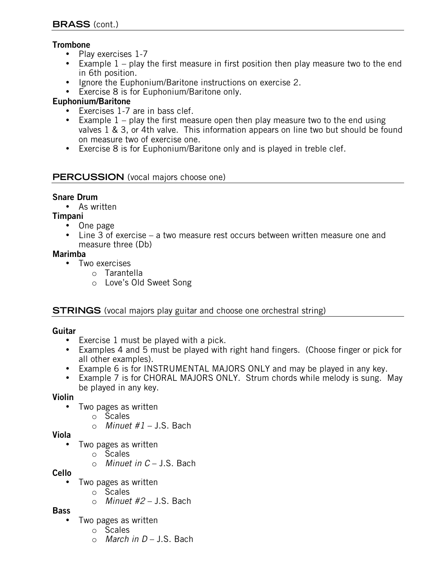## **Trombone**

- Play exercises 1-7
- Example 1 play the first measure in first position then play measure two to the end in 6th position.
- Ignore the Euphonium/Baritone instructions on exercise 2.
- Exercise 8 is for Euphonium/Baritone only.

## **Euphonium/Baritone**

- Exercises 1-7 are in bass clef.
- Example  $1$  play the first measure open then play measure two to the end using valves 1 & 3, or 4th valve. This information appears on line two but should be found on measure two of exercise one.
- Exercise 8 is for Euphonium/Baritone only and is played in treble clef.

## **PERCUSSION** (vocal majors choose one)

## **Snare Drum**

• As written

## **Timpani**

- One page
- Line 3 of exercise a two measure rest occurs between written measure one and measure three (Db)

#### **Marimba**

- Two exercises
	- o Tarantella
		- o Love's Old Sweet Song

## **STRINGS** (vocal majors play guitar and choose one orchestral string)

## **Guitar**

- Exercise 1 must be played with a pick.
- Examples 4 and 5 must be played with right hand fingers. (Choose finger or pick for all other examples).
- Example 6 is for INSTRUMENTAL MAJORS ONLY and may be played in any key.
- Example 7 is for CHORAL MAJORS ONLY. Strum chords while melody is sung. May be played in any key.

## **Violin**

- Two pages as written
	- o Scales
	- o *Minuet #1* J.S. Bach

## **Viola**

- Two pages as written
	- o Scales
		- o *Minuet in C* J.S. Bach

## **Cello**

- Two pages as written
	- o Scales
	- o *Minuet #2* J.S. Bach

## **Bass**

- Two pages as written
	- o Scales
	- o *March in D* J.S. Bach